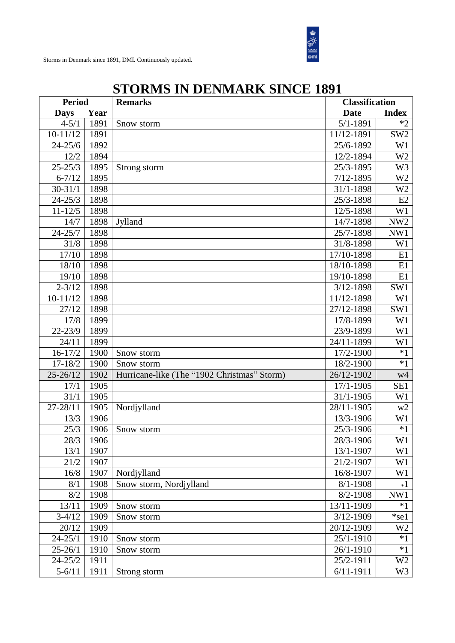

| <b>Period</b> |      | <b>Remarks</b>                              |               | <b>Classification</b> |  |
|---------------|------|---------------------------------------------|---------------|-----------------------|--|
| <b>Days</b>   | Year |                                             | <b>Date</b>   | <b>Index</b>          |  |
| $4 - 5/1$     | 1891 | Snow storm                                  | $5/1 - 1891$  | $*2$                  |  |
| $10-11/12$    | 1891 |                                             | 11/12-1891    | SW <sub>2</sub>       |  |
| $24 - 25/6$   | 1892 |                                             | 25/6-1892     | W1                    |  |
| 12/2          | 1894 |                                             | 12/2-1894     | W <sub>2</sub>        |  |
| $25 - 25/3$   | 1895 | Strong storm                                | 25/3-1895     | W <sub>3</sub>        |  |
| $6 - 7/12$    | 1895 |                                             | $7/12 - 1895$ | W <sub>2</sub>        |  |
| $30 - 31/1$   | 1898 |                                             | 31/1-1898     | W <sub>2</sub>        |  |
| $24 - 25/3$   | 1898 |                                             | 25/3-1898     | E2                    |  |
| $11 - 12/5$   | 1898 |                                             | 12/5-1898     | W <sub>1</sub>        |  |
| 14/7          | 1898 | Jylland                                     | 14/7-1898     | NW <sub>2</sub>       |  |
| $24 - 25/7$   | 1898 |                                             | 25/7-1898     | NW1                   |  |
| 31/8          | 1898 |                                             | 31/8-1898     | W <sub>1</sub>        |  |
| 17/10         | 1898 |                                             | 17/10-1898    | E1                    |  |
| 18/10         | 1898 |                                             | 18/10-1898    | E1                    |  |
| 19/10         | 1898 |                                             | 19/10-1898    | E1                    |  |
| $2 - 3/12$    | 1898 |                                             | 3/12-1898     | SW1                   |  |
| $10-11/12$    | 1898 |                                             | 11/12-1898    | W <sub>1</sub>        |  |
| 27/12         | 1898 |                                             | 27/12-1898    | SW1                   |  |
| 17/8          | 1899 |                                             | 17/8-1899     | W <sub>1</sub>        |  |
| $22 - 23/9$   | 1899 |                                             | 23/9-1899     | W <sub>1</sub>        |  |
| 24/11         | 1899 |                                             | 24/11-1899    | W <sub>1</sub>        |  |
| $16 - 17/2$   | 1900 | Snow storm                                  | 17/2-1900     | $*1$                  |  |
| $17 - 18/2$   | 1900 | Snow storm                                  | 18/2-1900     | $*1$                  |  |
| $25 - 26/12$  | 1902 | Hurricane-like (The "1902 Christmas" Storm) | 26/12-1902    | w4                    |  |
| 17/1          | 1905 |                                             | 17/1-1905     | SE1                   |  |
| 31/1          | 1905 |                                             | 31/1-1905     | W <sub>1</sub>        |  |
| $27 - 28/11$  | 1905 | Nordjylland                                 | 28/11-1905    | w2                    |  |
| 13/3          | 1906 |                                             | 13/3-1906     | W <sub>1</sub>        |  |
| 25/3          | 1906 | Snow storm                                  | 25/3-1906     | $*1$                  |  |
| 28/3          | 1906 |                                             | 28/3-1906     | W1                    |  |
| 13/1          | 1907 |                                             | 13/1-1907     | W1                    |  |
| 21/2          | 1907 |                                             | 21/2-1907     | W1                    |  |
| 16/8          | 1907 | Nordjylland                                 | 16/8-1907     | W1                    |  |
| 8/1           | 1908 | Snow storm, Nordjylland                     | $8/1 - 1908$  | $*1$                  |  |
| 8/2           | 1908 |                                             | 8/2-1908      | NW1                   |  |
| 13/11         | 1909 | Snow storm                                  | 13/11-1909    | $*1$                  |  |
| $3-4/12$      | 1909 | Snow storm                                  | 3/12-1909     | $*$ se $1$            |  |
| 20/12         | 1909 |                                             | 20/12-1909    | W <sub>2</sub>        |  |
| $24 - 25/1$   | 1910 | Snow storm                                  | 25/1-1910     | $*1$                  |  |
| $25 - 26/1$   | 1910 | Snow storm                                  | 26/1-1910     | $*1$                  |  |
| $24 - 25/2$   | 1911 |                                             | 25/2-1911     | W <sub>2</sub>        |  |
| $5 - 6/11$    | 1911 | Strong storm                                | $6/11 - 1911$ | W <sub>3</sub>        |  |

## **STORMS IN DENMARK SINCE 1891**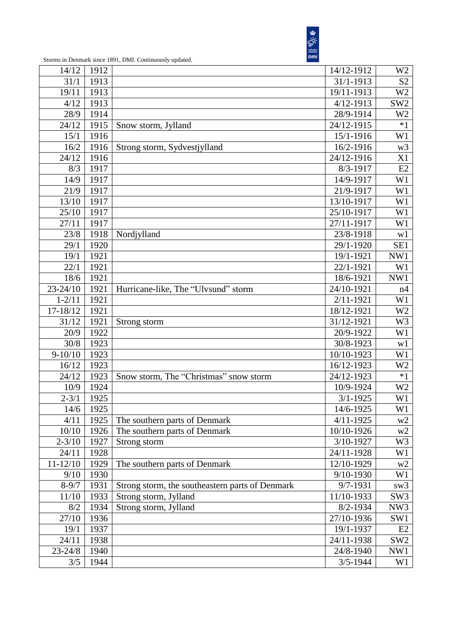

| 14/12        | 1912 |                                                 | 14/12-1912    | W <sub>2</sub>  |
|--------------|------|-------------------------------------------------|---------------|-----------------|
| 31/1         | 1913 |                                                 | 31/1-1913     | S <sub>2</sub>  |
| 19/11        | 1913 |                                                 | 19/11-1913    | W <sub>2</sub>  |
| 4/12         | 1913 |                                                 | $4/12 - 1913$ | SW <sub>2</sub> |
| 28/9         | 1914 |                                                 | 28/9-1914     | W <sub>2</sub>  |
| 24/12        | 1915 | Snow storm, Jylland                             | 24/12-1915    | $*1$            |
| 15/1         | 1916 |                                                 | 15/1-1916     | W1              |
| 16/2         | 1916 | Strong storm, Sydvestjylland                    | 16/2-1916     | w3              |
| 24/12        | 1916 |                                                 | 24/12-1916    | X1              |
| 8/3          | 1917 |                                                 | 8/3-1917      | E2              |
| 14/9         | 1917 |                                                 | 14/9-1917     | W1              |
| 21/9         | 1917 |                                                 | 21/9-1917     | W <sub>1</sub>  |
| 13/10        | 1917 |                                                 | 13/10-1917    | W1              |
| 25/10        | 1917 |                                                 | 25/10-1917    | W1              |
| 27/11        | 1917 |                                                 | 27/11-1917    | W <sub>1</sub>  |
| 23/8         | 1918 | Nordjylland                                     | 23/8-1918     | w1              |
| 29/1         | 1920 |                                                 | 29/1-1920     | SE1             |
| 19/1         | 1921 |                                                 | 19/1-1921     | NW1             |
| 22/1         | 1921 |                                                 | 22/1-1921     | W <sub>1</sub>  |
| 18/6         | 1921 |                                                 | 18/6-1921     | NW1             |
| $23 - 24/10$ | 1921 | Hurricane-like, The "Ulvsund" storm             | 24/10-1921    | n4              |
| $1 - 2/11$   | 1921 |                                                 | $2/11 - 1921$ | W <sub>1</sub>  |
| 17-18/12     | 1921 |                                                 | 18/12-1921    | W <sub>2</sub>  |
| 31/12        | 1921 | Strong storm                                    | 31/12-1921    | W3              |
| 20/9         | 1922 |                                                 | 20/9-1922     | W1              |
| $30/8$       | 1923 |                                                 | 30/8-1923     | w1              |
| $9 - 10/10$  | 1923 |                                                 | 10/10-1923    | W1              |
| 16/12        | 1923 |                                                 | 16/12-1923    | W <sub>2</sub>  |
| 24/12        | 1923 | Snow storm, The "Christmas" snow storm          | 24/12-1923    | $*1$            |
| 10/9         | 1924 |                                                 | 10/9-1924     | W <sub>2</sub>  |
| $2 - 3/1$    | 1925 |                                                 | $3/1 - 1925$  | W1              |
| 14/6         | 1925 |                                                 | 14/6-1925     | W1              |
| 4/11         | 1925 | The southern parts of Denmark                   | $4/11 - 1925$ | w2              |
| 10/10        | 1926 | The southern parts of Denmark                   | 10/10-1926    | w2              |
| $2 - 3/10$   | 1927 | Strong storm                                    | 3/10-1927     | W <sub>3</sub>  |
| 24/11        | 1928 |                                                 | 24/11-1928    | W <sub>1</sub>  |
| $11 - 12/10$ | 1929 | The southern parts of Denmark                   | 12/10-1929    | w2              |
| 9/10         | 1930 |                                                 | 9/10-1930     | W1              |
| $8 - 9/7$    | 1931 | Strong storm, the southeastern parts of Denmark | 9/7-1931      | sw <sub>3</sub> |
| 11/10        | 1933 | Strong storm, Jylland                           | 11/10-1933    | SW <sub>3</sub> |
| 8/2          | 1934 | Strong storm, Jylland                           | 8/2-1934      | NW3             |
| 27/10        | 1936 |                                                 | 27/10-1936    | SW1             |
| 19/1         | 1937 |                                                 | 19/1-1937     | E2              |
| 24/11        | 1938 |                                                 | 24/11-1938    | SW <sub>2</sub> |
| $23 - 24/8$  | 1940 |                                                 | 24/8-1940     | NW1             |
| 3/5          | 1944 |                                                 | $3/5 - 1944$  | W1              |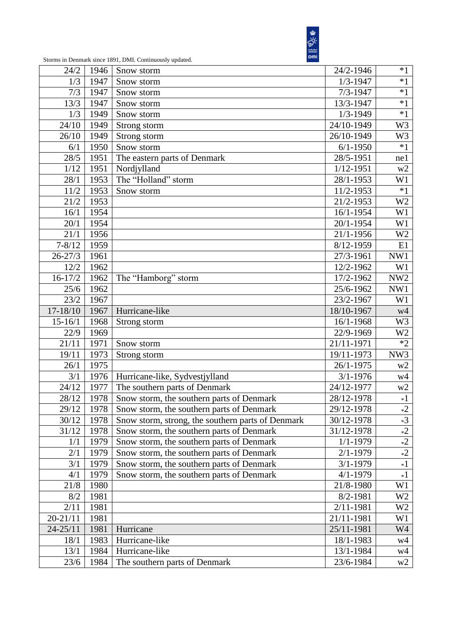

| 24/2         | 1946         |                                                   | 24/2-1946     | $*1$            |
|--------------|--------------|---------------------------------------------------|---------------|-----------------|
| 1/3          |              | Snow storm<br>Snow storm                          | $1/3 - 1947$  | $*1$            |
| 7/3          | 1947<br>1947 |                                                   | $7/3 - 1947$  | $*1$            |
|              |              | Snow storm                                        |               | $*1$            |
| 13/3         | 1947         | Snow storm                                        | 13/3-1947     |                 |
| 1/3          | 1949         | Snow storm                                        | $1/3 - 1949$  | $*1$            |
| 24/10        | 1949         | Strong storm                                      | 24/10-1949    | W <sub>3</sub>  |
| 26/10        | 1949         | Strong storm                                      | 26/10-1949    | W3              |
| 6/1          | 1950         | Snow storm                                        | $6/1 - 1950$  | $*1$            |
| 28/5         | 1951         | The eastern parts of Denmark                      | 28/5-1951     | ne1             |
| 1/12         | 1951         | Nordjylland                                       | $1/12 - 1951$ | w2              |
| 28/1         | 1953         | The "Holland" storm                               | 28/1-1953     | W1              |
| 11/2         | 1953         | Snow storm                                        | 11/2-1953     | $*1$            |
| 21/2         | 1953         |                                                   | 21/2-1953     | W <sub>2</sub>  |
| 16/1         | 1954         |                                                   | 16/1-1954     | W1              |
| 20/1         | 1954         |                                                   | 20/1-1954     | W <sub>1</sub>  |
| 21/1         | 1956         |                                                   | 21/1-1956     | W <sub>2</sub>  |
| $7 - 8/12$   | 1959         |                                                   | 8/12-1959     | E1              |
| $26 - 27/3$  | 1961         |                                                   | 27/3-1961     | NW1             |
| 12/2         | 1962         |                                                   | 12/2-1962     | W1              |
| $16 - 17/2$  | 1962         | The "Hamborg" storm                               | 17/2-1962     | NW <sub>2</sub> |
| 25/6         | 1962         |                                                   | 25/6-1962     | NW1             |
| 23/2         | 1967         |                                                   | 23/2-1967     | W1              |
| 17-18/10     | 1967         | Hurricane-like                                    | 18/10-1967    | w4              |
| $15 - 16/1$  | 1968         | Strong storm                                      | 16/1-1968     | W3              |
| 22/9         | 1969         |                                                   | 22/9-1969     | W <sub>2</sub>  |
| 21/11        | 1971         | Snow storm                                        | 21/11-1971    | $*2$            |
| 19/11        | 1973         | Strong storm                                      | 19/11-1973    | NW3             |
| 26/1         | 1975         |                                                   | 26/1-1975     | w2              |
| 3/1          | 1976         | Hurricane-like, Sydvestjylland                    | $3/1 - 1976$  | w4              |
| 24/12        | 1977         | The southern parts of Denmark                     | 24/12-1977    | w2              |
| 28/12        | 1978         | Snow storm, the southern parts of Denmark         | 28/12-1978    | $*1$            |
| 29/12        | 1978         | Snow storm, the southern parts of Denmark         | 29/12-1978    | $*2$            |
| 30/12        | 1978         | Snow storm, strong, the southern parts of Denmark | 30/12-1978    | $*3$            |
| 31/12        | 1978         | Snow storm, the southern parts of Denmark         | 31/12-1978    | $*2$            |
| 1/1          | 1979         | Snow storm, the southern parts of Denmark         | $1/1 - 1979$  | $*2$            |
| 2/1          | 1979         | Snow storm, the southern parts of Denmark         | $2/1 - 1979$  | $*2$            |
| 3/1          | 1979         | Snow storm, the southern parts of Denmark         | $3/1 - 1979$  | $*1$            |
| 4/1          | 1979         | Snow storm, the southern parts of Denmark         | $4/1 - 1979$  | $*1$            |
| 21/8         | 1980         |                                                   | 21/8-1980     | W <sub>1</sub>  |
| 8/2          | 1981         |                                                   | 8/2-1981      | W <sub>2</sub>  |
| 2/11         | 1981         |                                                   | 2/11-1981     | W <sub>2</sub>  |
| $20 - 21/11$ | 1981         |                                                   | 21/11-1981    | W1              |
| $24 - 25/11$ | 1981         | Hurricane                                         | 25/11-1981    | W4              |
|              |              | Hurricane-like                                    |               |                 |
| 18/1         | 1983         |                                                   | 18/1-1983     | w4              |
| 13/1         | 1984         | Hurricane-like                                    | 13/1-1984     | w4              |
| 23/6         | 1984         | The southern parts of Denmark                     | 23/6-1984     | w2              |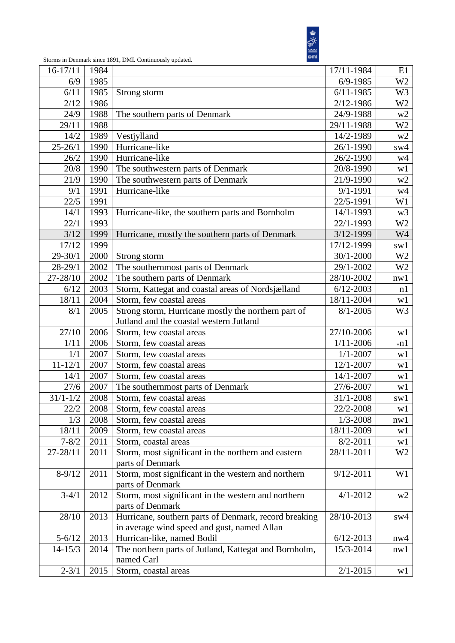

| $16-17/11$   | 1984 | 17/11-1984                                                              |                         |                |  |  |
|--------------|------|-------------------------------------------------------------------------|-------------------------|----------------|--|--|
| 6/9          | 1985 | $6/9 - 1985$                                                            |                         |                |  |  |
| 6/11         | 1985 | Strong storm                                                            | $6/11 - 1985$           | W <sub>3</sub> |  |  |
| 2/12         | 1986 |                                                                         | 2/12-1986               | W <sub>2</sub> |  |  |
| 24/9         | 1988 | The southern parts of Denmark                                           | 24/9-1988               | w2             |  |  |
| 29/11        | 1988 |                                                                         | 29/11-1988              | W <sub>2</sub> |  |  |
| 14/2         | 1989 | Vestjylland                                                             | 14/2-1989               | w2             |  |  |
| $25 - 26/1$  | 1990 | Hurricane-like<br>26/1-1990                                             |                         |                |  |  |
| 26/2         | 1990 | Hurricane-like                                                          | 26/2-1990               | w4             |  |  |
| 20/8         | 1990 | The southwestern parts of Denmark                                       | 20/8-1990               | w1             |  |  |
| 21/9         | 1990 | The southwestern parts of Denmark                                       | 21/9-1990               | w2             |  |  |
| 9/1          | 1991 | Hurricane-like                                                          | $9/1 - 1991$            | w4             |  |  |
| 22/5         | 1991 |                                                                         | 22/5-1991               | W1             |  |  |
| 14/1         | 1993 | Hurricane-like, the southern parts and Bornholm                         | 14/1-1993               | w <sub>3</sub> |  |  |
| 22/1         | 1993 |                                                                         | 22/1-1993               | W <sub>2</sub> |  |  |
| 3/12         | 1999 | Hurricane, mostly the southern parts of Denmark                         | 3/12-1999               | W4             |  |  |
| 17/12        | 1999 |                                                                         | 17/12-1999              | sw1            |  |  |
| $29 - 30/1$  | 2000 | Strong storm                                                            | 30/1-2000               | W <sub>2</sub> |  |  |
| $28 - 29/1$  | 2002 | The southernmost parts of Denmark                                       | 29/1-2002               | W <sub>2</sub> |  |  |
| 27-28/10     | 2002 | The southern parts of Denmark                                           | 28/10-2002              | nw1            |  |  |
| 6/12         | 2003 | Storm, Kattegat and coastal areas of Nordsjælland                       | $6/12 - 2003$           | n1             |  |  |
| 18/11        | 2004 | Storm, few coastal areas                                                | 18/11-2004              | w1             |  |  |
| 8/1          | 2005 | Strong storm, Hurricane mostly the northern part of                     | $8/1 - 2005$            | W <sub>3</sub> |  |  |
|              |      | Jutland and the coastal western Jutland                                 |                         |                |  |  |
| 27/10        | 2006 | Storm, few coastal areas                                                | 27/10-2006              | w1             |  |  |
| 1/11         | 2006 | Storm, few coastal areas                                                | $1/11 - 2006$           | $*n1$          |  |  |
| 1/1          | 2007 | $1/1 - 2007$<br>Storm, few coastal areas                                |                         |                |  |  |
| $11 - 12/1$  | 2007 | Storm, few coastal areas<br>12/1-2007                                   |                         |                |  |  |
| 14/1         | 2007 | Storm, few coastal areas<br>14/1-2007                                   |                         |                |  |  |
| 27/6         | 2007 | 27/6-2007<br>The southernmost parts of Denmark                          |                         |                |  |  |
| $31/1 - 1/2$ | 2008 | Storm, few coastal areas<br>31/1-2008                                   |                         |                |  |  |
| 22/2         | 2008 | Storm, few coastal areas                                                | $\overline{2}$ 2/2-2008 | sw1            |  |  |
|              |      |                                                                         |                         | w1             |  |  |
| 1/3          | 2008 | Storm, few coastal areas                                                | $1/3 - 2008$            | nw1            |  |  |
| 18/11        | 2009 | Storm, few coastal areas                                                | 18/11-2009              | w1             |  |  |
| $7 - 8/2$    | 2011 | Storm, coastal areas                                                    | $8/2 - 2011$            | w1             |  |  |
| 27-28/11     | 2011 | Storm, most significant in the northern and eastern<br>parts of Denmark | 28/11-2011              | W <sub>2</sub> |  |  |
| $8-9/12$     | 2011 | Storm, most significant in the western and northern                     | $9/12 - 2011$           | W <sub>1</sub> |  |  |
|              |      | parts of Denmark                                                        |                         |                |  |  |
| $3-4/1$      | 2012 | Storm, most significant in the western and northern                     | $4/1 - 2012$            | w2             |  |  |
|              |      | parts of Denmark                                                        |                         |                |  |  |
| 28/10        | 2013 | Hurricane, southern parts of Denmark, record breaking<br>28/10-2013     |                         | sw4            |  |  |
|              |      | in average wind speed and gust, named Allan                             |                         |                |  |  |
| $5 - 6/12$   | 2013 | Hurrican-like, named Bodil                                              | $6/12 - 2013$           | nw4            |  |  |
| $14 - 15/3$  | 2014 | The northern parts of Jutland, Kattegat and Bornholm,<br>15/3-2014      |                         |                |  |  |
|              |      | named Carl                                                              |                         | nw1            |  |  |
| $2 - 3/1$    | 2015 | $2/1 - 2015$<br>Storm, coastal areas                                    |                         |                |  |  |